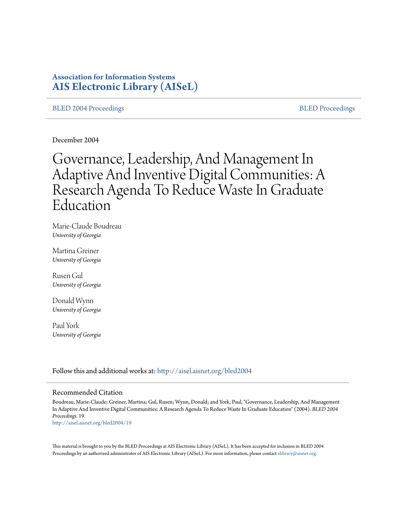# **Association for Information Systems [AIS Electronic Library \(AISeL\)](http://aisel.aisnet.org?utm_source=aisel.aisnet.org%2Fbled2004%2F19&utm_medium=PDF&utm_campaign=PDFCoverPages)**

#### [BLED 2004 Proceedings](http://aisel.aisnet.org/bled2004?utm_source=aisel.aisnet.org%2Fbled2004%2F19&utm_medium=PDF&utm_campaign=PDFCoverPages) and the state of the [BLED Proceedings](http://aisel.aisnet.org/bled?utm_source=aisel.aisnet.org%2Fbled2004%2F19&utm_medium=PDF&utm_campaign=PDFCoverPages) and the BLED Proceedings and the BLED Proceedings and the BLED Proceedings and the BLED Proceedings and the BLED Proceedings and the BLED Proceedings and the BLED

December 2004

# Governance, Leadership, And Management In Adaptive And Inventive Digital Communities: A Research Agenda To Reduce Waste In Graduate Education

Marie-Claude Boudreau *University of Georgia*

Martina Greiner *University of Georgia*

Rusen Gul *University of Georgia*

Donald Wynn *University of Georgia*

Paul York *University of Georgia*

Follow this and additional works at: [http://aisel.aisnet.org/bled2004](http://aisel.aisnet.org/bled2004?utm_source=aisel.aisnet.org%2Fbled2004%2F19&utm_medium=PDF&utm_campaign=PDFCoverPages)

#### Recommended Citation

Boudreau, Marie-Claude; Greiner, Martina; Gul, Rusen; Wynn, Donald; and York, Paul, "Governance, Leadership, And Management In Adaptive And Inventive Digital Communities: A Research Agenda To Reduce Waste In Graduate Education" (2004). *BLED 2004 Proceedings*. 19. [http://aisel.aisnet.org/bled2004/19](http://aisel.aisnet.org/bled2004/19?utm_source=aisel.aisnet.org%2Fbled2004%2F19&utm_medium=PDF&utm_campaign=PDFCoverPages)

This material is brought to you by the BLED Proceedings at AIS Electronic Library (AISeL). It has been accepted for inclusion in BLED 2004 Proceedings by an authorized administrator of AIS Electronic Library (AISeL). For more information, please contact [elibrary@aisnet.org](mailto:elibrary@aisnet.org%3E).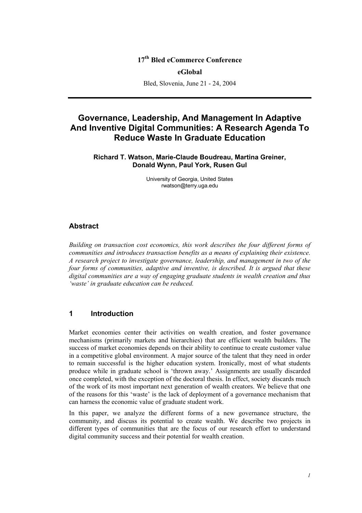# **17th Bled eCommerce Conference**

**eGlobal** 

Bled, Slovenia, June 21 - 24, 2004

# **Governance, Leadership, And Management In Adaptive And Inventive Digital Communities: A Research Agenda To Reduce Waste In Graduate Education**

**Richard T. Watson, Marie-Claude Boudreau, Martina Greiner, Donald Wynn, Paul York, Rusen Gul** 

> University of Georgia, United States rwatson@terry.uga.edu

#### **Abstract**

*Building on transaction cost economics, this work describes the four different forms of communities and introduces transaction benefits as a means of explaining their existence. A research project to investigate governance, leadership, and management in two of the four forms of communities, adaptive and inventive, is described. It is argued that these digital communities are a way of engaging graduate students in wealth creation and thus 'waste' in graduate education can be reduced.* 

#### **1 Introduction**

Market economies center their activities on wealth creation, and foster governance mechanisms (primarily markets and hierarchies) that are efficient wealth builders. The success of market economies depends on their ability to continue to create customer value in a competitive global environment. A major source of the talent that they need in order to remain successful is the higher education system. Ironically, most of what students produce while in graduate school is 'thrown away.' Assignments are usually discarded once completed, with the exception of the doctoral thesis. In effect, society discards much of the work of its most important next generation of wealth creators. We believe that one of the reasons for this 'waste' is the lack of deployment of a governance mechanism that can harness the economic value of graduate student work.

In this paper, we analyze the different forms of a new governance structure, the community, and discuss its potential to create wealth. We describe two projects in different types of communities that are the focus of our research effort to understand digital community success and their potential for wealth creation.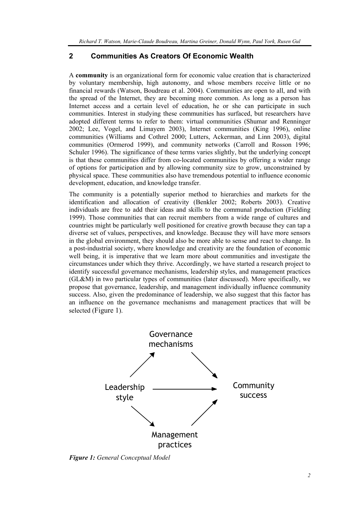# **2 Communities As Creators Of Economic Wealth**

A **community** is an organizational form for economic value creation that is characterized by voluntary membership, high autonomy, and whose members receive little or no financial rewards (Watson, Boudreau et al. 2004). Communities are open to all, and with the spread of the Internet, they are becoming more common. As long as a person has Internet access and a certain level of education, he or she can participate in such communities. Interest in studying these communities has surfaced, but researchers have adopted different terms to refer to them: virtual communities (Shumar and Renninger 2002; Lee, Vogel, and Limayem 2003), Internet communities (King 1996), online communities (Williams and Cothrel 2000; Lutters, Ackerman, and Linn 2003), digital communities (Ormerod 1999), and community networks (Carroll and Rosson 1996; Schuler 1996). The significance of these terms varies slightly, but the underlying concept is that these communities differ from co-located communities by offering a wider range of options for participation and by allowing community size to grow, unconstrained by physical space. These communities also have tremendous potential to influence economic development, education, and knowledge transfer.

The community is a potentially superior method to hierarchies and markets for the identification and allocation of creativity (Benkler 2002; Roberts 2003). Creative individuals are free to add their ideas and skills to the communal production (Fielding 1999). Those communities that can recruit members from a wide range of cultures and countries might be particularly well positioned for creative growth because they can tap a diverse set of values, perspectives, and knowledge. Because they will have more sensors in the global environment, they should also be more able to sense and react to change. In a post-industrial society, where knowledge and creativity are the foundation of economic well being, it is imperative that we learn more about communities and investigate the circumstances under which they thrive. Accordingly, we have started a research project to identify successful governance mechanisms, leadership styles, and management practices (GL&M) in two particular types of communities (later discussed). More specifically, we propose that governance, leadership, and management individually influence community success. Also, given the predominance of leadership, we also suggest that this factor has an influence on the governance mechanisms and management practices that will be selected (Figure 1).



*Figure 1: General Conceptual Model*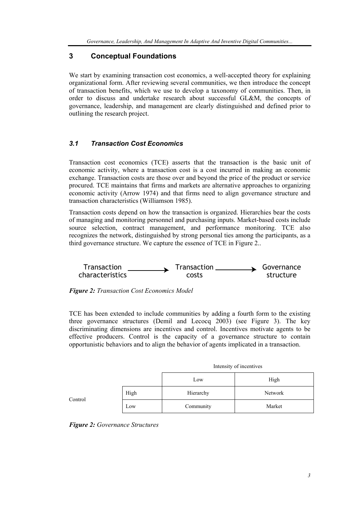# **3 Conceptual Foundations**

We start by examining transaction cost economics, a well-accepted theory for explaining organizational form. After reviewing several communities, we then introduce the concept of transaction benefits, which we use to develop a taxonomy of communities. Then, in order to discuss and undertake research about successful GL&M, the concepts of governance, leadership, and management are clearly distinguished and defined prior to outlining the research project.

### *3.1 Transaction Cost Economics*

Transaction cost economics (TCE) asserts that the transaction is the basic unit of economic activity, where a transaction cost is a cost incurred in making an economic exchange. Transaction costs are those over and beyond the price of the product or service procured. TCE maintains that firms and markets are alternative approaches to organizing economic activity (Arrow 1974) and that firms need to align governance structure and transaction characteristics (Williamson 1985).

Transaction costs depend on how the transaction is organized. Hierarchies bear the costs of managing and monitoring personnel and purchasing inputs. Market-based costs include source selection, contract management, and performance monitoring. TCE also recognizes the network, distinguished by strong personal ties among the participants, as a third governance structure. We capture the essence of TCE in Figure 2..





TCE has been extended to include communities by adding a fourth form to the existing three governance structures (Demil and Lecocq 2003) (see Figure 3). The key discriminating dimensions are incentives and control. Incentives motivate agents to be effective producers. Control is the capacity of a governance structure to contain opportunistic behaviors and to align the behavior of agents implicated in a transaction.

|         |      | Intensity of incentives |         |  |
|---------|------|-------------------------|---------|--|
|         |      | Low                     | High    |  |
| Control | High | Hierarchy               | Network |  |
|         | Low  | Community               | Market  |  |

*Figure 2: Governance Structures*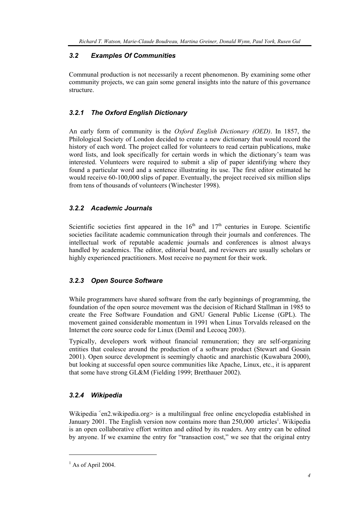# *3.2 Examples Of Communities*

Communal production is not necessarily a recent phenomenon. By examining some other community projects, we can gain some general insights into the nature of this governance structure.

# *3.2.1 The Oxford English Dictionary*

An early form of community is the *Oxford English Dictionary (OED)*. In 1857, the Philological Society of London decided to create a new dictionary that would record the history of each word. The project called for volunteers to read certain publications, make word lists, and look specifically for certain words in which the dictionary's team was interested. Volunteers were required to submit a slip of paper identifying where they found a particular word and a sentence illustrating its use. The first editor estimated he would receive 60-100,000 slips of paper. Eventually, the project received six million slips from tens of thousands of volunteers (Winchester 1998).

# *3.2.2 Academic Journals*

Scientific societies first appeared in the  $16<sup>th</sup>$  and  $17<sup>th</sup>$  centuries in Europe. Scientific societies facilitate academic communication through their journals and conferences. The intellectual work of reputable academic journals and conferences is almost always handled by academics. The editor, editorial board, and reviewers are usually scholars or highly experienced practitioners. Most receive no payment for their work.

### *3.2.3 Open Source Software*

While programmers have shared software from the early beginnings of programming, the foundation of the open source movement was the decision of Richard Stallman in 1985 to create the Free Software Foundation and GNU General Public License (GPL). The movement gained considerable momentum in 1991 when Linus Torvalds released on the Internet the core source code for Linux (Demil and Lecocq 2003).

Typically, developers work without financial remuneration; they are self-organizing entities that coalesce around the production of a software product (Stewart and Gosain 2001). Open source development is seemingly chaotic and anarchistic (Kuwabara 2000), but looking at successful open source communities like Apache, Linux, etc., it is apparent that some have strong GL&M (Fielding 1999; Bretthauer 2002).

# *3.2.4 Wikipedia*

Wikipedia  $\epsilon$ en2.wikipedia.org> is a multilingual free online encyclopedia established in January 2001. The English version now contains more than 250,000 articles<sup>1</sup>. Wikipedia is an open collaborative effort written and edited by its readers. Any entry can be edited by anyone. If we examine the entry for "transaction cost," we see that the original entry

l

 $<sup>1</sup>$  As of April 2004.</sup>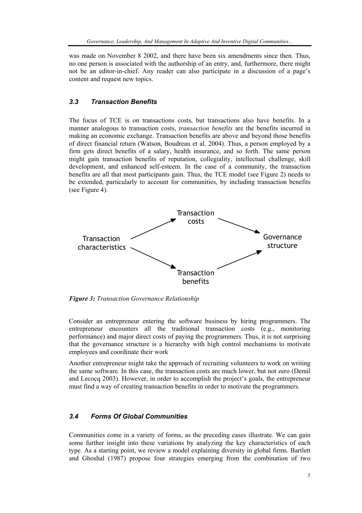was made on November 8 2002, and there have been six amendments since then. Thus, no one person is associated with the authorship of an entry, and, furthermore, there might not be an editor-in-chief. Any reader can also participate in a discussion of a page's content and request new topics.

### *3.3 Transaction Benefits*

The focus of TCE is on transactions costs, but transactions also have benefits. In a manner analogous to transaction costs, *transaction benefits* are the benefits incurred in making an economic exchange. Transaction benefits are above and beyond those benefits of direct financial return (Watson, Boudreau et al. 2004). Thus, a person employed by a firm gets direct benefits of a salary, health insurance, and so forth. The same person might gain transaction benefits of reputation, collegiality, intellectual challenge, skill development, and enhanced self-esteem. In the case of a community, the transaction benefits are all that most participants gain. Thus, the TCE model (see Figure 2) needs to be extended, particularly to account for communities, by including transaction benefits (see Figure 4).



*Figure 3: Transaction Governance Relationship* 

Consider an entrepreneur entering the software business by hiring programmers. The entrepreneur encounters all the traditional transaction costs (e.g., monitoring performance) and major direct costs of paying the programmers. Thus, it is not surprising that the governance structure is a hierarchy with high control mechanisms to motivate employees and coordinate their work

Another entrepreneur might take the approach of recruiting volunteers to work on writing the same software. In this case, the transaction costs are much lower, but not zero (Demil and Lecocq 2003). However, in order to accomplish the project's goals, the entrepreneur must find a way of creating transaction benefits in order to motivate the programmers.

## *3.4 Forms Of Global Communities*

Communities come in a variety of forms, as the preceding cases illustrate. We can gain some further insight into these variations by analyzing the key characteristics of each type. As a starting point, we review a model explaining diversity in global firms. Bartlett and Ghoshal (1987) propose four strategies emerging from the combination of two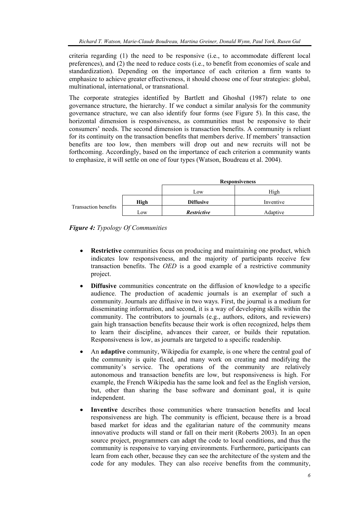criteria regarding (1) the need to be responsive (i.e., to accommodate different local preferences), and (2) the need to reduce costs (i.e., to benefit from economies of scale and standardization). Depending on the importance of each criterion a firm wants to emphasize to achieve greater effectiveness, it should choose one of four strategies: global, multinational, international, or transnational.

The corporate strategies identified by Bartlett and Ghoshal (1987) relate to one governance structure, the hierarchy. If we conduct a similar analysis for the community governance structure, we can also identify four forms (see Figure 5). In this case, the horizontal dimension is responsiveness, as communities must be responsive to their consumers' needs. The second dimension is transaction benefits. A community is reliant for its continuity on the transaction benefits that members derive. If members' transaction benefits are too low, then members will drop out and new recruits will not be forthcoming. Accordingly, based on the importance of each criterion a community wants to emphasize, it will settle on one of four types (Watson, Boudreau et al. 2004).

|                      |      | <b>Responsiveness</b> |           |  |
|----------------------|------|-----------------------|-----------|--|
|                      |      | LOW                   | High      |  |
| Transaction benefits | High | <b>Diffusive</b>      | Inventive |  |
|                      | Low  | <b>Restrictive</b>    | Adaptive  |  |



- **Restrictive** communities focus on producing and maintaining one product, which indicates low responsiveness, and the majority of participants receive few transaction benefits. The *OED* is a good example of a restrictive community project.
- **Diffusive** communities concentrate on the diffusion of knowledge to a specific audience. The production of academic journals is an exemplar of such a community. Journals are diffusive in two ways. First, the journal is a medium for disseminating information, and second, it is a way of developing skills within the community. The contributors to journals (e.g., authors, editors, and reviewers) gain high transaction benefits because their work is often recognized, helps them to learn their discipline, advances their career, or builds their reputation. Responsiveness is low, as journals are targeted to a specific readership.
- An **adaptive** community, Wikipedia for example, is one where the central goal of the community is quite fixed, and many work on creating and modifying the community's service. The operations of the community are relatively autonomous and transaction benefits are low, but responsiveness is high. For example, the French Wikipedia has the same look and feel as the English version, but, other than sharing the base software and dominant goal, it is quite independent.
- **Inventive** describes those communities where transaction benefits and local responsiveness are high. The community is efficient, because there is a broad based market for ideas and the egalitarian nature of the community means innovative products will stand or fall on their merit (Roberts 2003). In an open source project, programmers can adapt the code to local conditions, and thus the community is responsive to varying environments. Furthermore, participants can learn from each other, because they can see the architecture of the system and the code for any modules. They can also receive benefits from the community,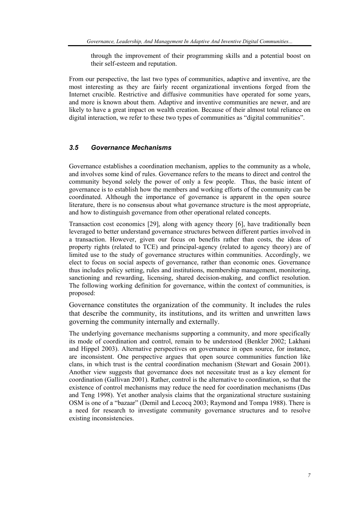through the improvement of their programming skills and a potential boost on their self-esteem and reputation.

From our perspective, the last two types of communities, adaptive and inventive, are the most interesting as they are fairly recent organizational inventions forged from the Internet crucible. Restrictive and diffusive communities have operated for some years, and more is known about them. Adaptive and inventive communities are newer, and are likely to have a great impact on wealth creation. Because of their almost total reliance on digital interaction, we refer to these two types of communities as "digital communities".

#### *3.5 Governance Mechanisms*

Governance establishes a coordination mechanism, applies to the community as a whole, and involves some kind of rules. Governance refers to the means to direct and control the community beyond solely the power of only a few people. Thus, the basic intent of governance is to establish how the members and working efforts of the community can be coordinated. Although the importance of governance is apparent in the open source literature, there is no consensus about what governance structure is the most appropriate, and how to distinguish governance from other operational related concepts.

Transaction cost economics [29], along with agency theory [6], have traditionally been leveraged to better understand governance structures between different parties involved in a transaction. However, given our focus on benefits rather than costs, the ideas of property rights (related to TCE) and principal-agency (related to agency theory) are of limited use to the study of governance structures within communities. Accordingly, we elect to focus on social aspects of governance, rather than economic ones. Governance thus includes policy setting, rules and institutions, membership management, monitoring, sanctioning and rewarding, licensing, shared decision-making, and conflict resolution. The following working definition for governance, within the context of communities, is proposed:

Governance constitutes the organization of the community. It includes the rules that describe the community, its institutions, and its written and unwritten laws governing the community internally and externally.

The underlying governance mechanisms supporting a community, and more specifically its mode of coordination and control, remain to be understood (Benkler 2002; Lakhani and Hippel 2003). Alternative perspectives on governance in open source, for instance, are inconsistent. One perspective argues that open source communities function like clans, in which trust is the central coordination mechanism (Stewart and Gosain 2001). Another view suggests that governance does not necessitate trust as a key element for coordination (Gallivan 2001). Rather, control is the alternative to coordination, so that the existence of control mechanisms may reduce the need for coordination mechanisms (Das and Teng 1998). Yet another analysis claims that the organizational structure sustaining OSM is one of a "bazaar" (Demil and Lecocq 2003; Raymond and Tompa 1988). There is a need for research to investigate community governance structures and to resolve existing inconsistencies.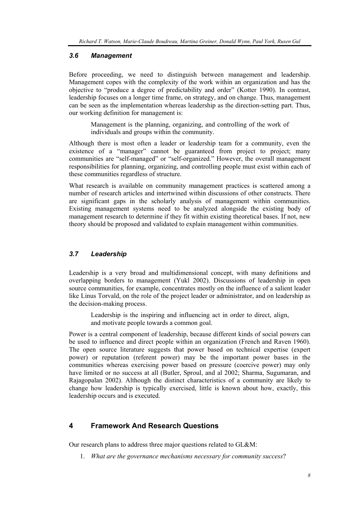#### *3.6 Management*

Before proceeding, we need to distinguish between management and leadership. Management copes with the complexity of the work within an organization and has the objective to "produce a degree of predictability and order" (Kotter 1990). In contrast, leadership focuses on a longer time frame, on strategy, and on change. Thus, management can be seen as the implementation whereas leadership as the direction-setting part. Thus, our working definition for management is:

Management is the planning, organizing, and controlling of the work of individuals and groups within the community.

Although there is most often a leader or leadership team for a community, even the existence of a "manager" cannot be guaranteed from project to project; many communities are "self-managed" or "self-organized." However, the overall management responsibilities for planning, organizing, and controlling people must exist within each of these communities regardless of structure.

What research is available on community management practices is scattered among a number of research articles and intertwined within discussions of other constructs. There are significant gaps in the scholarly analysis of management within communities. Existing management systems need to be analyzed alongside the existing body of management research to determine if they fit within existing theoretical bases. If not, new theory should be proposed and validated to explain management within communities.

# *3.7 Leadership*

Leadership is a very broad and multidimensional concept, with many definitions and overlapping borders to management (Yukl 2002). Discussions of leadership in open source communities, for example, concentrates mostly on the influence of a salient leader like Linus Torvald, on the role of the project leader or administrator, and on leadership as the decision-making process.

Leadership is the inspiring and influencing act in order to direct, align, and motivate people towards a common goal.

Power is a central component of leadership, because different kinds of social powers can be used to influence and direct people within an organization (French and Raven 1960). The open source literature suggests that power based on technical expertise (expert power) or reputation (referent power) may be the important power bases in the communities whereas exercising power based on pressure (coercive power) may only have limited or no success at all (Butler, Sproul, and al 2002; Sharma, Sugumaran, and Rajagopalan 2002). Although the distinct characteristics of a community are likely to change how leadership is typically exercised, little is known about how, exactly, this leadership occurs and is executed.

# **4 Framework And Research Questions**

Our research plans to address three major questions related to GL&M:

1. *What are the governance mechanisms necessary for community success*?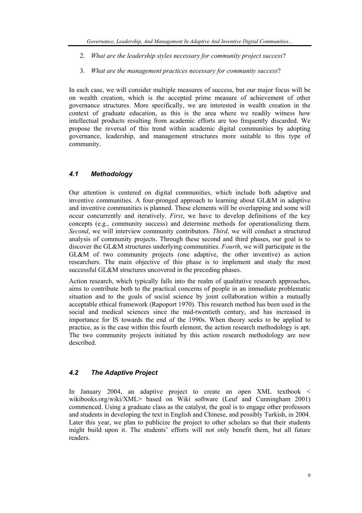- 2. *What are the leadership styles necessary for community project success*?
- 3. *What are the management practices necessary for community success*?

In each case, we will consider multiple measures of success, but our major focus will be on wealth creation, which is the accepted prime measure of achievement of other governance structures. More specifically, we are interested in wealth creation in the context of graduate education, as this is the area where we readily witness how intellectual products resulting from academic efforts are too frequently discarded. We propose the reversal of this trend within academic digital communities by adopting governance, leadership, and management structures more suitable to this type of community.

# *4.1 Methodology*

Our attention is centered on digital communities, which include both adaptive and inventive communities. A four-pronged approach to learning about GL&M in adaptive and inventive communities is planned. These elements will be overlapping and some will occur concurrently and iteratively. *First*, we have to develop definitions of the key concepts (e.g., community success) and determine methods for operationalizing them. *Second*, we will interview community contributors. *Third*, we will conduct a structured analysis of community projects. Through these second and third phases, our goal is to discover the GL&M structures underlying communities. *Fourth*, we will participate in the GL&M of two community projects (one adaptive, the other inventive) as action researchers. The main objective of this phase is to implement and study the most successful GL&M structures uncovered in the preceding phases.

Action research, which typically falls into the realm of qualitative research approaches, aims to contribute both to the practical concerns of people in an immediate problematic situation and to the goals of social science by joint collaboration within a mutually acceptable ethical framework (Rapoport 1970). This research method has been used in the social and medical sciences since the mid-twentieth century, and has increased in importance for IS towards the end of the 1990s. When theory seeks to be applied to practice, as is the case within this fourth element, the action research methodology is apt. The two community projects initiated by this action research methodology are now described.

# *4.2 The Adaptive Project*

In January 2004, an adaptive project to create an open XML textbook < wikibooks.org/wiki/XML> based on Wiki software (Leuf and Cunningham 2001) commenced. Using a graduate class as the catalyst, the goal is to engage other professors and students in developing the text in English and Chinese, and possibly Turkish, in 2004. Later this year, we plan to publicize the project to other scholars so that their students might build upon it. The students' efforts will not only benefit them, but all future readers.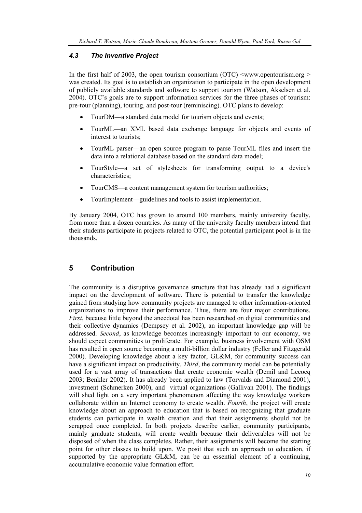## *4.3 The Inventive Project*

In the first half of 2003, the open tourism consortium (OTC)  $\leq$ www.opentourism.org  $\geq$ was created. Its goal is to establish an organization to participate in the open development of publicly available standards and software to support tourism (Watson, Akselsen et al. 2004). OTC's goals are to support information services for the three phases of tourism: pre-tour (planning), touring, and post-tour (reminiscing). OTC plans to develop:

- TourDM—a standard data model for tourism objects and events;
- TourML—an XML based data exchange language for objects and events of interest to tourists;
- TourML parser—an open source program to parse TourML files and insert the data into a relational database based on the standard data model;
- TourStyle—a set of stylesheets for transforming output to a device's characteristics;
- TourCMS—a content management system for tourism authorities;
- TourImplement—guidelines and tools to assist implementation.

By January 2004, OTC has grown to around 100 members, mainly university faculty, from more than a dozen countries. As many of the university faculty members intend that their students participate in projects related to OTC, the potential participant pool is in the thousands.

# **5 Contribution**

The community is a disruptive governance structure that has already had a significant impact on the development of software. There is potential to transfer the knowledge gained from studying how community projects are managed to other information-oriented organizations to improve their performance. Thus, there are four major contributions. *First*, because little beyond the anecdotal has been researched on digital communities and their collective dynamics (Dempsey et al. 2002), an important knowledge gap will be addressed. *Second*, as knowledge becomes increasingly important to our economy, we should expect communities to proliferate. For example, business involvement with OSM has resulted in open source becoming a multi-billion dollar industry (Feller and Fitzgerald 2000). Developing knowledge about a key factor, GL&M, for community success can have a significant impact on productivity. *Third*, the community model can be potentially used for a vast array of transactions that create economic wealth (Demil and Lecocq 2003; Benkler 2002). It has already been applied to law (Torvalds and Diamond 2001), investment (Schmerken 2000), and virtual organizations (Gallivan 2001). The findings will shed light on a very important phenomenon affecting the way knowledge workers collaborate within an Internet economy to create wealth. *Fourth*, the project will create knowledge about an approach to education that is based on recognizing that graduate students can participate in wealth creation and that their assignments should not be scrapped once completed. In both projects describe earlier, community participants, mainly graduate students, will create wealth because their deliverables will not be disposed of when the class completes. Rather, their assignments will become the starting point for other classes to build upon. We posit that such an approach to education, if supported by the appropriate GL&M, can be an essential element of a continuing, accumulative economic value formation effort.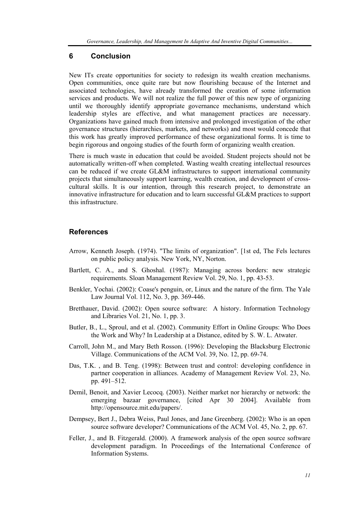### **6 Conclusion**

New ITs create opportunities for society to redesign its wealth creation mechanisms. Open communities, once quite rare but now flourishing because of the Internet and associated technologies, have already transformed the creation of some information services and products. We will not realize the full power of this new type of organizing until we thoroughly identify appropriate governance mechanisms, understand which leadership styles are effective, and what management practices are necessary. Organizations have gained much from intensive and prolonged investigation of the other governance structures (hierarchies, markets, and networks) and most would concede that this work has greatly improved performance of these organizational forms. It is time to begin rigorous and ongoing studies of the fourth form of organizing wealth creation.

There is much waste in education that could be avoided. Student projects should not be automatically written-off when completed. Wasting wealth creating intellectual resources can be reduced if we create GL&M infrastructures to support international community projects that simultaneously support learning, wealth creation, and development of crosscultural skills. It is our intention, through this research project, to demonstrate an innovative infrastructure for education and to learn successful GL&M practices to support this infrastructure.

# **References**

- Arrow, Kenneth Joseph. (1974). "The limits of organization". [1st ed, The Fels lectures on public policy analysis. New York, NY, Norton.
- Bartlett, C. A., and S. Ghoshal. (1987): Managing across borders: new strategic requirements. Sloan Management Review Vol. 29, No. 1, pp. 43-53.
- Benkler, Yochai. (2002): Coase's penguin, or, Linux and the nature of the firm. The Yale Law Journal Vol. 112, No. 3, pp. 369-446.
- Bretthauer, David. (2002): Open source software: A history. Information Technology and Libraries Vol. 21, No. 1, pp. 3.
- Butler, B., L., Sproul, and et al. (2002). Community Effort in Online Groups: Who Does the Work and Why? In Leadership at a Distance, edited by S. W. L. Atwater.
- Carroll, John M., and Mary Beth Rosson. (1996): Developing the Blacksburg Electronic Village. Communications of the ACM Vol. 39, No. 12, pp. 69-74.
- Das, T.K. , and B. Teng. (1998): Between trust and control: developing confidence in partner cooperation in alliances. Academy of Management Review Vol. 23, No. pp. 491–512.
- Demil, Benoit, and Xavier Lecocq. (2003). Neither market nor hierarchy or network: the emerging bazaar governance, [cited Apr 30 2004]. Available from http://opensource.mit.edu/papers/.
- Dempsey, Bert J., Debra Weiss, Paul Jones, and Jane Greenberg. (2002): Who is an open source software developer? Communications of the ACM Vol. 45, No. 2, pp. 67.
- Feller, J., and B. Fitzgerald. (2000). A framework analysis of the open source software development paradigm. In Proceedings of the International Conference of Information Systems.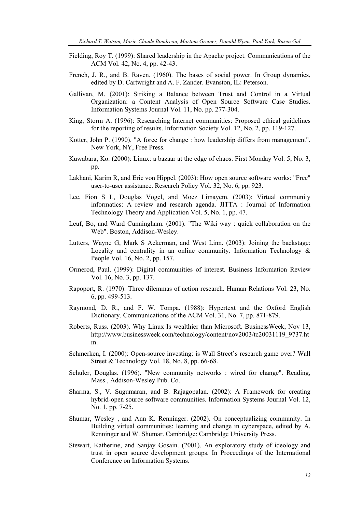- Fielding, Roy T. (1999): Shared leadership in the Apache project. Communications of the ACM Vol. 42, No. 4, pp. 42-43.
- French, J. R., and B. Raven. (1960). The bases of social power. In Group dynamics, edited by D. Cartwright and A. F. Zander. Evanston, IL: Peterson.
- Gallivan, M. (2001): Striking a Balance between Trust and Control in a Virtual Organization: a Content Analysis of Open Source Software Case Studies. Information Systems Journal Vol. 11, No. pp. 277-304.
- King, Storm A. (1996): Researching Internet communities: Proposed ethical guidelines for the reporting of results. Information Society Vol. 12, No. 2, pp. 119-127.
- Kotter, John P. (1990). "A force for change : how leadership differs from management". New York, NY, Free Press.
- Kuwabara, Ko. (2000): Linux: a bazaar at the edge of chaos. First Monday Vol. 5, No. 3, pp.
- Lakhani, Karim R, and Eric von Hippel. (2003): How open source software works: "Free" user-to-user assistance. Research Policy Vol. 32, No. 6, pp. 923.
- Lee, Fion S L, Douglas Vogel, and Moez Limayem. (2003): Virtual community informatics: A review and research agenda. JITTA : Journal of Information Technology Theory and Application Vol. 5, No. 1, pp. 47.
- Leuf, Bo, and Ward Cunningham. (2001). "The Wiki way : quick collaboration on the Web". Boston, Addison-Wesley.
- Lutters, Wayne G, Mark S Ackerman, and West Linn. (2003): Joining the backstage: Locality and centrality in an online community. Information Technology  $\&$ People Vol. 16, No. 2, pp. 157.
- Ormerod, Paul. (1999): Digital communities of interest. Business Information Review Vol. 16, No. 3, pp. 137.
- Rapoport, R. (1970): Three dilemmas of action research. Human Relations Vol. 23, No. 6, pp. 499-513.
- Raymond, D. R., and F. W. Tompa. (1988): Hypertext and the Oxford English Dictionary. Communications of the ACM Vol. 31, No. 7, pp. 871-879.
- Roberts, Russ. (2003). Why Linux Is wealthier than Microsoft. BusinessWeek, Nov 13, http://www.businessweek.com/technology/content/nov2003/tc20031119\_9737.ht m.
- Schmerken, I. (2000): Open-source investing: is Wall Street's research game over? Wall Street & Technology Vol. 18, No. 8, pp. 66-68.
- Schuler, Douglas. (1996). "New community networks : wired for change". Reading, Mass., Addison-Wesley Pub. Co.
- Sharma, S., V. Sugumaran, and B. Rajagopalan. (2002): A Framework for creating hybrid-open source software communities. Information Systems Journal Vol. 12, No. 1, pp. 7-25.
- Shumar, Wesley , and Ann K. Renninger. (2002). On conceptualizing community. In Building virtual communities: learning and change in cyberspace, edited by A. Renninger and W. Shumar. Cambridge: Cambridge University Press.
- Stewart, Katherine, and Sanjay Gosain. (2001). An exploratory study of ideology and trust in open source development groups. In Proceedings of the International Conference on Information Systems.